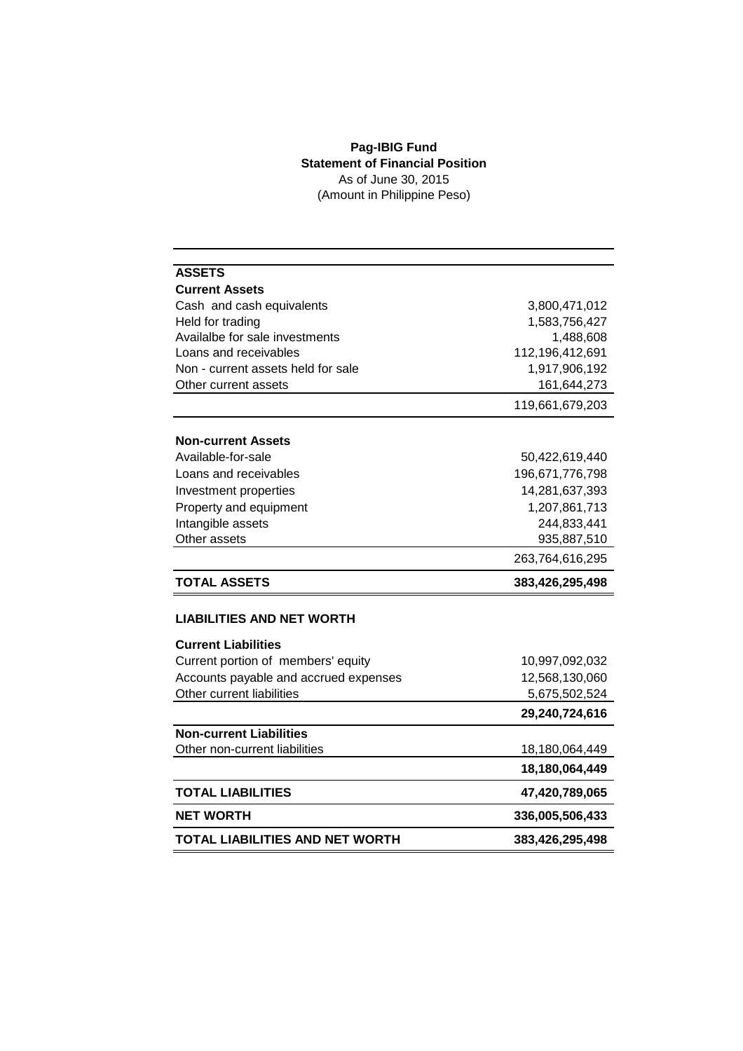## **Pag-IBIG Fund Statement of Financial Position** As of June 30, 2015 (Amount in Philippine Peso)

| <b>ASSETS</b>                          |                 |
|----------------------------------------|-----------------|
| <b>Current Assets</b>                  |                 |
| Cash and cash equivalents              | 3,800,471,012   |
| Held for trading                       | 1,583,756,427   |
| Availalbe for sale investments         | 1,488,608       |
| Loans and receivables                  | 112,196,412,691 |
| Non - current assets held for sale     | 1,917,906,192   |
| Other current assets                   | 161,644,273     |
|                                        | 119,661,679,203 |
| <b>Non-current Assets</b>              |                 |
| Available-for-sale                     | 50,422,619,440  |
| Loans and receivables                  | 196,671,776,798 |
| Investment properties                  | 14,281,637,393  |
| Property and equipment                 | 1,207,861,713   |
| Intangible assets                      | 244,833,441     |
| Other assets                           | 935,887,510     |
|                                        | 263,764,616,295 |
| <b>TOTAL ASSETS</b>                    | 383,426,295,498 |
|                                        |                 |
| <b>LIABILITIES AND NET WORTH</b>       |                 |
| <b>Current Liabilities</b>             |                 |
| Current portion of members' equity     | 10,997,092,032  |
| Accounts payable and accrued expenses  | 12,568,130,060  |
| Other current liabilities              | 5,675,502,524   |
|                                        | 29,240,724,616  |
| <b>Non-current Liabilities</b>         |                 |
| Other non-current liabilities          | 18,180,064,449  |
|                                        | 18,180,064,449  |
| <b>TOTAL LIABILITIES</b>               | 47,420,789,065  |
| <b>NET WORTH</b>                       | 336,005,506,433 |
| <b>TOTAL LIABILITIES AND NET WORTH</b> | 383,426,295,498 |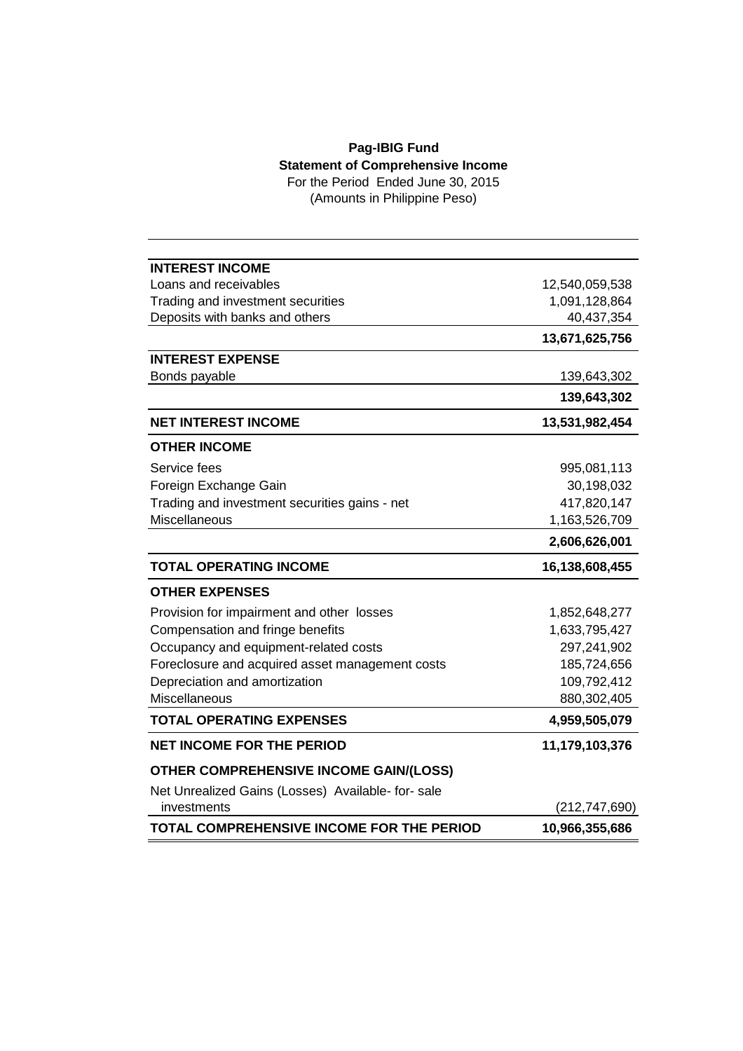## **Pag-IBIG Fund Statement of Comprehensive Income**

For the Period Ended June 30, 2015 (Amounts in Philippine Peso)

| <b>INTEREST INCOME</b>                            |                |
|---------------------------------------------------|----------------|
| Loans and receivables                             | 12,540,059,538 |
| Trading and investment securities                 | 1,091,128,864  |
| Deposits with banks and others                    | 40,437,354     |
|                                                   | 13,671,625,756 |
| <b>INTEREST EXPENSE</b>                           |                |
| Bonds payable                                     | 139,643,302    |
|                                                   | 139,643,302    |
| <b>NET INTEREST INCOME</b>                        | 13,531,982,454 |
| <b>OTHER INCOME</b>                               |                |
| Service fees                                      | 995,081,113    |
| Foreign Exchange Gain                             | 30,198,032     |
| Trading and investment securities gains - net     | 417,820,147    |
| Miscellaneous                                     | 1,163,526,709  |
|                                                   | 2,606,626,001  |
| <b>TOTAL OPERATING INCOME</b>                     | 16,138,608,455 |
| <b>OTHER EXPENSES</b>                             |                |
| Provision for impairment and other losses         | 1,852,648,277  |
| Compensation and fringe benefits                  | 1,633,795,427  |
| Occupancy and equipment-related costs             | 297,241,902    |
| Foreclosure and acquired asset management costs   | 185,724,656    |
| Depreciation and amortization                     | 109,792,412    |
| Miscellaneous                                     | 880,302,405    |
| <b>TOTAL OPERATING EXPENSES</b>                   | 4,959,505,079  |
| <b>NET INCOME FOR THE PERIOD</b>                  | 11,179,103,376 |
| <b>OTHER COMPREHENSIVE INCOME GAIN/(LOSS)</b>     |                |
| Net Unrealized Gains (Losses) Available- for-sale |                |
| investments                                       | (212,747,690)  |
| <b>TOTAL COMPREHENSIVE INCOME FOR THE PERIOD</b>  | 10,966,355,686 |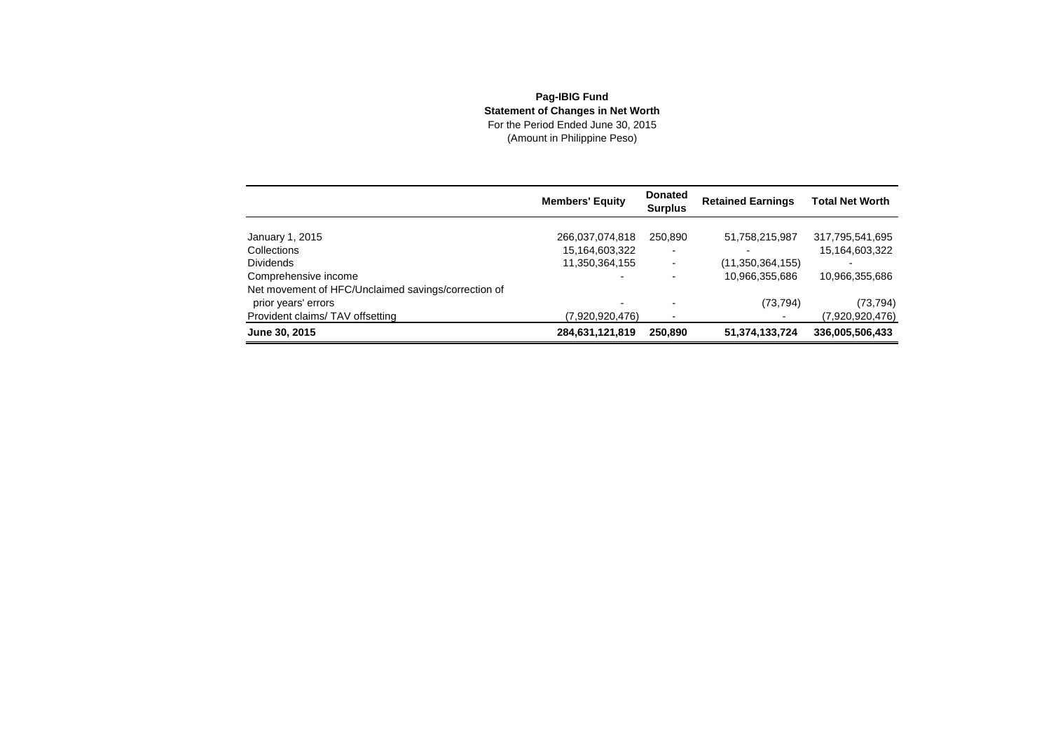## **Pag-IBIG Fund Statement of Changes in Net Worth** For the Period Ended June 30, 2015(Amount in Philippine Peso)

|                                                     | <b>Members' Equity</b> | <b>Donated</b><br><b>Surplus</b> | <b>Retained Earnings</b> | <b>Total Net Worth</b> |
|-----------------------------------------------------|------------------------|----------------------------------|--------------------------|------------------------|
|                                                     |                        |                                  |                          |                        |
| January 1, 2015                                     | 266,037,074,818        | 250.890                          | 51,758,215,987           | 317,795,541,695        |
| Collections                                         | 15,164,603,322         |                                  |                          | 15,164,603,322         |
| <b>Dividends</b>                                    | 11,350,364,155         | -                                | (11,350,364,155)         |                        |
| Comprehensive income                                |                        |                                  | 10,966,355,686           | 10,966,355,686         |
| Net movement of HFC/Unclaimed savings/correction of |                        |                                  |                          |                        |
| prior years' errors                                 |                        |                                  | (73, 794)                | (73, 794)              |
| Provident claims/TAV offsetting                     | (7.920.920.476)        |                                  |                          | (7,920,920,476)        |
| June 30, 2015                                       | 284,631,121,819        | 250,890                          | 51,374,133,724           | 336,005,506,433        |